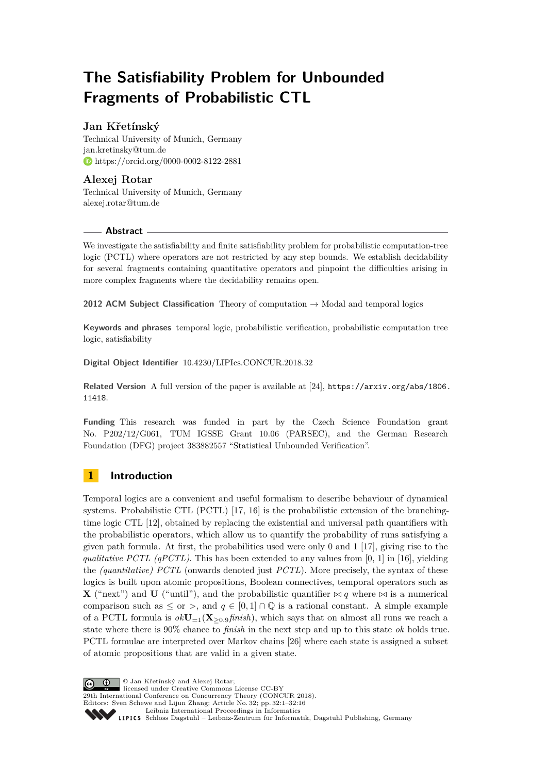# **The Satisfiability Problem for Unbounded Fragments of Probabilistic CTL**

## **Jan Křetínský**

Technical University of Munich, Germany [jan.kretinsky@tum.de](mailto:jan.kretinsky@tum.de) <https://orcid.org/0000-0002-8122-2881>

# **Alexej Rotar**

Technical University of Munich, Germany [alexej.rotar@tum.de](mailto:alexej.rotar@tum.de)

### **Abstract**

We investigate the satisfiability and finite satisfiability problem for probabilistic computation-tree logic (PCTL) where operators are not restricted by any step bounds. We establish decidability for several fragments containing quantitative operators and pinpoint the difficulties arising in more complex fragments where the decidability remains open.

**2012 ACM Subject Classification** Theory of computation → Modal and temporal logics

**Keywords and phrases** temporal logic, probabilistic verification, probabilistic computation tree logic, satisfiability

**Digital Object Identifier** [10.4230/LIPIcs.CONCUR.2018.32](http://dx.doi.org/10.4230/LIPIcs.CONCUR.2018.32)

**Related Version** A full version of the paper is available at [\[24\]](#page-15-0), [https://arxiv.org/abs/1806.](https://arxiv.org/abs/1806.11418) [11418](https://arxiv.org/abs/1806.11418).

**Funding** This research was funded in part by the Czech Science Foundation grant No. P202/12/G061, TUM IGSSE Grant 10.06 (PARSEC), and the German Research Foundation (DFG) project 383882557 "Statistical Unbounded Verification".

# **1 Introduction**

Temporal logics are a convenient and useful formalism to describe behaviour of dynamical systems. Probabilistic CTL (PCTL) [\[17,](#page-15-1) [16\]](#page-15-2) is the probabilistic extension of the branchingtime logic CTL [\[12\]](#page-15-3), obtained by replacing the existential and universal path quantifiers with the probabilistic operators, which allow us to quantify the probability of runs satisfying a given path formula. At first, the probabilities used were only 0 and 1 [\[17\]](#page-15-1), giving rise to the *qualitative PCTL (qPCTL)*. This has been extended to any values from [0, 1] in [\[16\]](#page-15-2), yielding the *(quantitative) PCTL* (onwards denoted just *PCTL*). More precisely, the syntax of these logics is built upon atomic propositions, Boolean connectives, temporal operators such as **X** ("next") and **U** ("until"), and the probabilistic quantifier  $\bowtie q$  where  $\bowtie$  is a numerical comparison such as  $\leq$  or  $>$ , and  $q \in [0,1] \cap \mathbb{Q}$  is a rational constant. A simple example of a PCTL formula is  $okU_{=1}(\mathbf{X}_{\geq 0.9}$  *finish*), which says that on almost all runs we reach a state where there is 90% chance to *finish* in the next step and up to this state *ok* holds true. PCTL formulae are interpreted over Markov chains [\[26\]](#page-15-4) where each state is assigned a subset of atomic propositions that are valid in a given state.

**C 1** © Jan Křetínský and Alexej Rotar: licensed under Creative Commons License CC-BY 29th International Conference on Concurrency Theory (CONCUR 2018). Editors: Sven Schewe and Lijun Zhang; Article No. 32; pp. 32:1–32[:16](#page-15-5) [Leibniz International Proceedings in Informatics](http://www.dagstuhl.de/lipics/) [Schloss Dagstuhl – Leibniz-Zentrum für Informatik, Dagstuhl Publishing, Germany](http://www.dagstuhl.de)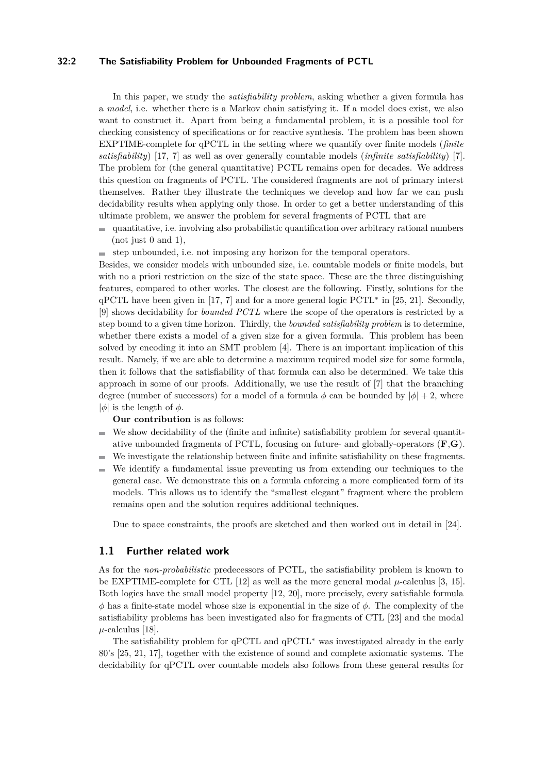### **32:2 The Satisfiability Problem for Unbounded Fragments of PCTL**

In this paper, we study the *satisfiability problem*, asking whether a given formula has a *model*, i.e. whether there is a Markov chain satisfying it. If a model does exist, we also want to construct it. Apart from being a fundamental problem, it is a possible tool for checking consistency of specifications or for reactive synthesis. The problem has been shown EXPTIME-complete for qPCTL in the setting where we quantify over finite models (*finite satisfiability*) [\[17,](#page-15-1) [7\]](#page-14-0) as well as over generally countable models (*infinite satisfiability*) [\[7\]](#page-14-0). The problem for (the general quantitative) PCTL remains open for decades. We address this question on fragments of PCTL. The considered fragments are not of primary interst themselves. Rather they illustrate the techniques we develop and how far we can push decidability results when applying only those. In order to get a better understanding of this ultimate problem, we answer the problem for several fragments of PCTL that are

- quantitative, i.e. involving also probabilistic quantification over arbitrary rational numbers  $($ not just  $0$  and  $1)$ ,
- step unbounded, i.e. not imposing any horizon for the temporal operators. er.

Besides, we consider models with unbounded size, i.e. countable models or finite models, but with no a priori restriction on the size of the state space. These are the three distinguishing features, compared to other works. The closest are the following. Firstly, solutions for the qPCTL have been given in [\[17,](#page-15-1) [7\]](#page-14-0) and for a more general logic PCTL<sup>∗</sup> in [\[25,](#page-15-6) [21\]](#page-15-7). Secondly, [\[9\]](#page-14-1) shows decidability for *bounded PCTL* where the scope of the operators is restricted by a step bound to a given time horizon. Thirdly, the *bounded satisfiability problem* is to determine, whether there exists a model of a given size for a given formula. This problem has been solved by encoding it into an SMT problem [\[4\]](#page-14-2). There is an important implication of this result. Namely, if we are able to determine a maximum required model size for some formula, then it follows that the satisfiability of that formula can also be determined. We take this approach in some of our proofs. Additionally, we use the result of [\[7\]](#page-14-0) that the branching degree (number of successors) for a model of a formula  $\phi$  can be bounded by  $|\phi| + 2$ , where  $|\phi|$  is the length of  $\phi$ .

**Our contribution** is as follows:

- We show decidability of the (finite and infinite) satisfiability problem for several quantit- $\sim$ ative unbounded fragments of PCTL, focusing on future- and globally-operators (**F**,**G**).
- We investigate the relationship between finite and infinite satisfiability on these fragments.
- We identify a fundamental issue preventing us from extending our techniques to the  $\blacksquare$ general case. We demonstrate this on a formula enforcing a more complicated form of its models. This allows us to identify the "smallest elegant" fragment where the problem remains open and the solution requires additional techniques.

Due to space constraints, the proofs are sketched and then worked out in detail in [\[24\]](#page-15-0).

### **1.1 Further related work**

As for the *non-probabilistic* predecessors of PCTL, the satisfiability problem is known to be EXPTIME-complete for CTL [\[12\]](#page-15-3) as well as the more general modal  $\mu$ -calculus [\[3,](#page-14-3) [15\]](#page-15-8). Both logics have the small model property [\[12,](#page-15-3) [20\]](#page-15-9), more precisely, every satisfiable formula *φ* has a finite-state model whose size is exponential in the size of *φ*. The complexity of the satisfiability problems has been investigated also for fragments of CTL [\[23\]](#page-15-10) and the modal  $\mu$ -calculus [\[18\]](#page-15-11).

The satisfiability problem for qPCTL and qPCTL<sup>∗</sup> was investigated already in the early 80's [\[25,](#page-15-6) [21,](#page-15-7) [17\]](#page-15-1), together with the existence of sound and complete axiomatic systems. The decidability for qPCTL over countable models also follows from these general results for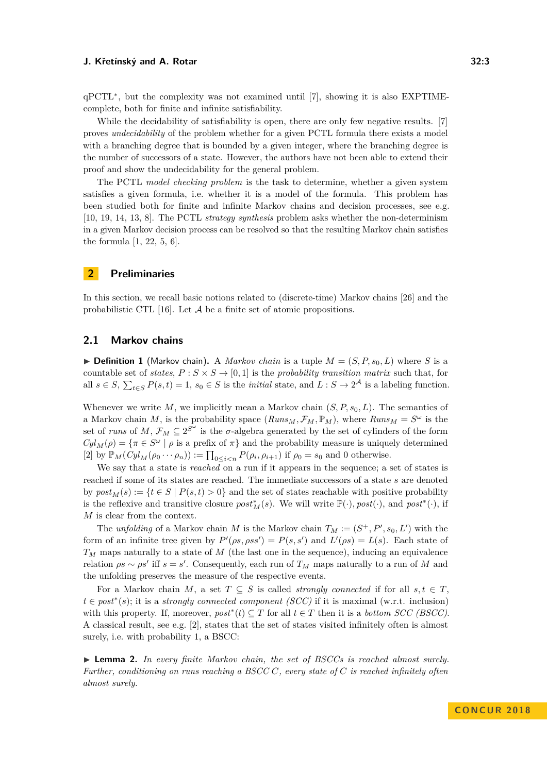qPCTL<sup>∗</sup> , but the complexity was not examined until [\[7\]](#page-14-0), showing it is also EXPTIMEcomplete, both for finite and infinite satisfiability.

While the decidability of satisfiability is open, there are only few negative results. [\[7\]](#page-14-0) proves *undecidability* of the problem whether for a given PCTL formula there exists a model with a branching degree that is bounded by a given integer, where the branching degree is the number of successors of a state. However, the authors have not been able to extend their proof and show the undecidability for the general problem.

The PCTL *model checking problem* is the task to determine, whether a given system satisfies a given formula, i.e. whether it is a model of the formula. This problem has been studied both for finite and infinite Markov chains and decision processes, see e.g. [\[10,](#page-14-4) [19,](#page-15-12) [14,](#page-15-13) [13,](#page-15-14) [8\]](#page-14-5). The PCTL *strategy synthesis* problem asks whether the non-determinism in a given Markov decision process can be resolved so that the resulting Markov chain satisfies the formula [\[1,](#page-14-6) [22,](#page-15-15) [5,](#page-14-7) [6\]](#page-14-8).

## **2 Preliminaries**

In this section, we recall basic notions related to (discrete-time) Markov chains [\[26\]](#page-15-4) and the probabilistic CTL [\[16\]](#page-15-2). Let  $A$  be a finite set of atomic propositions.

### **2.1 Markov chains**

 $\triangleright$  **Definition 1** (Markov chain). A *Markov chain* is a tuple  $M = (S, P, s_0, L)$  where *S* is a countable set of *states*,  $P : S \times S \rightarrow [0,1]$  is the *probability transition matrix* such that, for all  $s \in S$ ,  $\sum_{t \in S} P(s, t) = 1$ ,  $s_0 \in S$  is the *initial* state, and  $L : S \to 2^{\mathcal{A}}$  is a labeling function.

Whenever we write  $M$ , we implicitly mean a Markov chain  $(S, P, s_0, L)$ . The semantics of a Markov chain *M*, is the probability space  $(Runs_M, \mathcal{F}_M, \mathbb{P}_M)$ , where  $Runs_M = S^{\omega}$  is the set of *runs* of  $M$ ,  $\mathcal{F}_M \subseteq 2^{S^{\omega}}$  is the *σ*-algebra generated by the set of cylinders of the form  $Cyl_M(\rho) = \{ \pi \in S^{\omega} \mid \rho \text{ is a prefix of } \pi \}$  and the probability measure is uniquely determined [\[2\]](#page-14-9) by  $\mathbb{P}_M(Cyl_M(\rho_0 \cdots \rho_n)) := \prod_{0 \le i < n} P(\rho_i, \rho_{i+1})$  if  $\rho_0 = s_0$  and 0 otherwise.

We say that a state is *reached* on a run if it appears in the sequence; a set of states is reached if some of its states are reached. The immediate successors of a state *s* are denoted by  $post_M(s) := \{t \in S \mid P(s,t) > 0\}$  and the set of states reachable with positive probability is the reflexive and transitive closure  $post_M^*(s)$ . We will write  $\mathbb{P}(\cdot)$ *, post* $(\cdot)$ *,* and  $post^*(\cdot)$ *,* if *M* is clear from the context.

The *unfolding* of a Markov chain *M* is the Markov chain  $T_M := (S^+, P', s_0, L')$  with the form of an infinite tree given by  $P'(\rho s, \rho ss') = P(s, s')$  and  $L'(\rho s) = L(s)$ . Each state of *T<sup>M</sup>* maps naturally to a state of *M* (the last one in the sequence), inducing an equivalence relation  $\rho s \sim \rho s'$  iff  $s = s'$ . Consequently, each run of  $T_M$  maps naturally to a run of M and the unfolding preserves the measure of the respective events.

For a Markov chain *M*, a set  $T \subseteq S$  is called *strongly connected* if for all  $s, t \in T$ . *t* ∈ *post*<sup>∗</sup> (*s*); it is a *strongly connected component (SCC)* if it is maximal (w.r.t. inclusion) with this property. If, moreover,  $post^*(t) \subseteq T$  for all  $t \in T$  then it is a *bottom SCC (BSCC)*. A classical result, see e.g. [\[2\]](#page-14-9), states that the set of states visited infinitely often is almost surely, i.e. with probability 1, a BSCC:

<span id="page-2-0"></span> $\blacktriangleright$  **Lemma 2.** In every finite Markov chain, the set of BSCCs is reached almost surely. *Further, conditioning on runs reaching a BSCC C, every state of C is reached infinitely often almost surely.*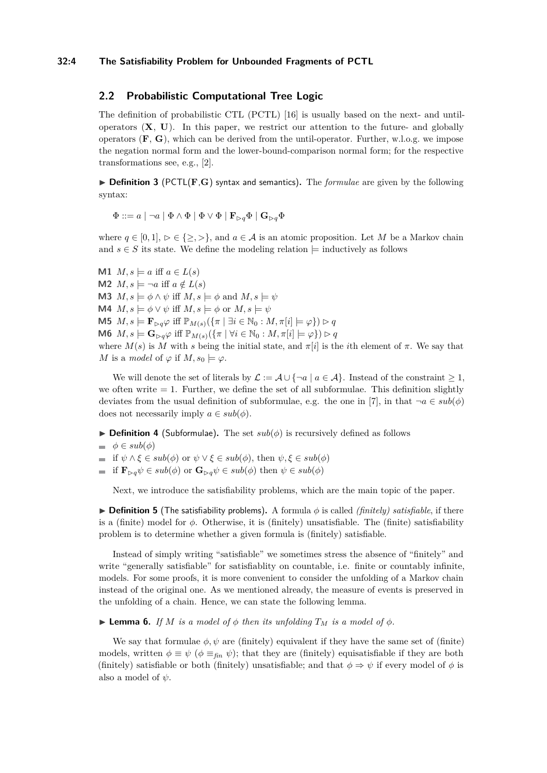### **32:4 The Satisfiability Problem for Unbounded Fragments of PCTL**

### **2.2 Probabilistic Computational Tree Logic**

The definition of probabilistic CTL (PCTL) [\[16\]](#page-15-2) is usually based on the next- and untiloperators (**X**, **U**). In this paper, we restrict our attention to the future- and globally operators  $(\mathbf{F}, \mathbf{G})$ , which can be derived from the until-operator. Further, w.l.o.g. we impose the negation normal form and the lower-bound-comparison normal form; for the respective transformations see, e.g., [\[2\]](#page-14-9).

▶ **Definition 3** (PCTL(**F**,G) syntax and semantics). The *formulae* are given by the following syntax:

$$
\Phi ::= a \mid \neg a \mid \Phi \land \Phi \mid \Phi \lor \Phi \mid \mathbf{F}_{\triangleright q} \Phi \mid \mathbf{G}_{\triangleright q} \Phi
$$

where  $q \in [0, 1], \, p \in \{>, \, >\},$  and  $q \in \mathcal{A}$  is an atomic proposition. Let M be a Markov chain and  $s \in S$  its state. We define the modeling relation  $\models$  inductively as follows

**M1**  $M, s \models a$  iff  $a \in L(s)$ **M2**  $M, s \models \neg a$  iff  $a \notin L(s)$ **M3**  $M, s \models \phi \land \psi$  iff  $M, s \models \phi$  and  $M, s \models \psi$ **M4**  $M, s \models \phi \lor \psi$  iff  $M, s \models \phi$  or  $M, s \models \psi$ **M5**  $M, s \models \mathbf{F}_{\triangleright q} \varphi$  iff  $\mathbb{P}_{M(s)}(\{\pi \mid \exists i \in \mathbb{N}_0 : M, \pi[i] \models \varphi\}) \triangleright q$ **M6**  $M, s \models \mathbf{G}_{\triangleright q} \varphi$  iff  $\mathbb{P}_{M(s)}(\{\pi \mid \forall i \in \mathbb{N}_0 : M, \pi[i] \models \varphi\}) \varphi q$ where  $M(s)$  is  $M$  with  $s$  being the initial state, and  $\pi[i]$  is the *i*th element of  $\pi$ . We say that *M* is a *model* of  $\varphi$  if  $M, s_0 \models \varphi$ .

We will denote the set of literals by  $\mathcal{L} := \mathcal{A} \cup \{\neg a \mid a \in \mathcal{A}\}\.$  Instead of the constraint  $\geq 1$ , we often write  $= 1$ . Further, we define the set of all subformulae. This definition slightly deviates from the usual definition of subformulae, e.g. the one in [\[7\]](#page-14-0), in that  $\neg a \in sub(\phi)$ does not necessarily imply  $a \in sub(\phi)$ .

 $\triangleright$  **Definition 4** (Subformulae). The set  $sub(\phi)$  is recursively defined as follows

- $\Rightarrow$  *φ*  $\in$  *sub*(*φ*)
- $\blacksquare$  if  $\psi \wedge \xi \in sub(\phi)$  or  $\psi \vee \xi \in sub(\phi)$ , then  $\psi, \xi \in sub(\phi)$
- $\blacksquare$  if  $\mathbf{F}_{\triangleright q}$   $\psi \in sub(\phi)$  or  $\mathbf{G}_{\triangleright q}$   $\psi \in sub(\phi)$  then  $\psi \in sub(\phi)$

Next, we introduce the satisfiability problems, which are the main topic of the paper.

 $\triangleright$  **Definition 5** (The satisfiability problems). A formula  $\phi$  is called *(finitely) satisfiable*, if there is a (finite) model for  $\phi$ . Otherwise, it is (finitely) unsatisfiable. The (finite) satisfiability problem is to determine whether a given formula is (finitely) satisfiable.

Instead of simply writing "satisfiable" we sometimes stress the absence of "finitely" and write "generally satisfiable" for satisfiablity on countable, i.e. finite or countably infinite, models. For some proofs, it is more convenient to consider the unfolding of a Markov chain instead of the original one. As we mentioned already, the measure of events is preserved in the unfolding of a chain. Hence, we can state the following lemma.

 $\blacktriangleright$  **Lemma 6.** *If M is a model of*  $\phi$  *then its unfolding*  $T_M$  *is a model of*  $\phi$ *.* 

We say that formulae  $\phi, \psi$  are (finitely) equivalent if they have the same set of (finite) models, written  $\phi \equiv \psi$  ( $\phi \equiv_{\text{fin}} \psi$ ); that they are (finitely) equisatisfiable if they are both (finitely) satisfiable or both (finitely) unsatisfiable; and that  $\phi \Rightarrow \psi$  if every model of  $\phi$  is also a model of *ψ*.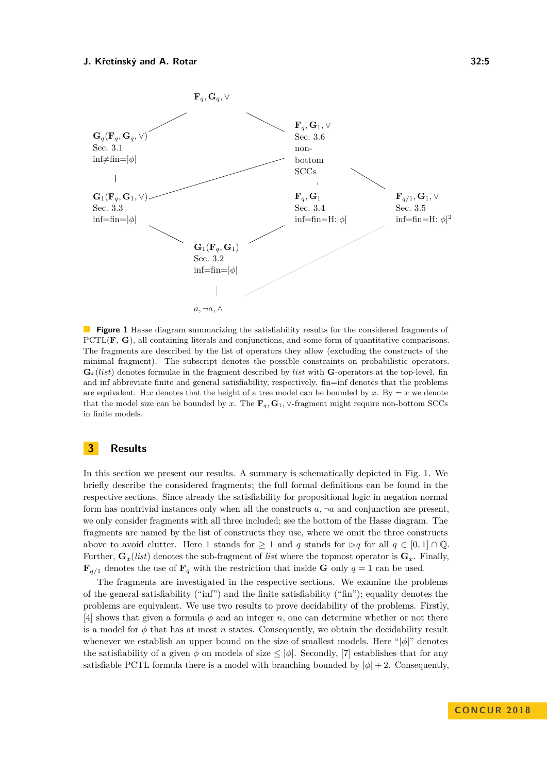<span id="page-4-0"></span>

**Figure 1** Hasse diagram summarizing the satisfiability results for the considered fragments of PCTL(**F**, **G**), all containing literals and conjunctions, and some form of quantitative comparisons. The fragments are described by the list of operators they allow (excluding the constructs of the minimal fragment). The subscript denotes the possible constraints on probabilistic operators.  $\mathbf{G}_x(list)$  denotes formulae in the fragment described by *list* with **G**-operators at the top-level. fin and inf abbreviate finite and general satisfiability, respectively. fin=inf denotes that the problems are equivalent. H:*x* denotes that the height of a tree model can be bounded by *x*. By  $=x$  we denote that the model size can be bounded by x. The  $\mathbf{F}_q$ ,  $\mathbf{G}_1$ ,  $\vee$ -fragment might require non-bottom SCCs in finite models.

## **3 Results**

In this section we present our results. A summary is schematically depicted in Fig. [1.](#page-4-0) We briefly describe the considered fragments; the full formal definitions can be found in the respective sections. Since already the satisfiability for propositional logic in negation normal form has nontrivial instances only when all the constructs  $a, \neg a$  and conjunction are present. we only consider fragments with all three included; see the bottom of the Hasse diagram. The fragments are named by the list of constructs they use, where we omit the three constructs above to avoid clutter. Here 1 stands for  $\geq 1$  and q stands for  $\triangleright q$  for all  $q \in [0,1] \cap \mathbb{Q}$ . Further,  $\mathbf{G}_x(list)$  denotes the sub-fragment of *list* where the topmost operator is  $\mathbf{G}_x$ . Finally,  $\mathbf{F}_{q/1}$  denotes the use of  $\mathbf{F}_{q}$  with the restriction that inside **G** only  $q = 1$  can be used.

The fragments are investigated in the respective sections. We examine the problems of the general satisfiability ("inf") and the finite satisfiability ("fin"); equality denotes the problems are equivalent. We use two results to prove decidability of the problems. Firstly, [\[4\]](#page-14-2) shows that given a formula  $\phi$  and an integer *n*, one can determine whether or not there is a model for  $\phi$  that has at most *n* states. Consequently, we obtain the decidability result whenever we establish an upper bound on the size of smallest models. Here "|*φ*|" denotes the satisfiability of a given  $\phi$  on models of size  $\leq |\phi|$ . Secondly, [\[7\]](#page-14-0) establishes that for any satisfiable PCTL formula there is a model with branching bounded by  $|\phi| + 2$ . Consequently,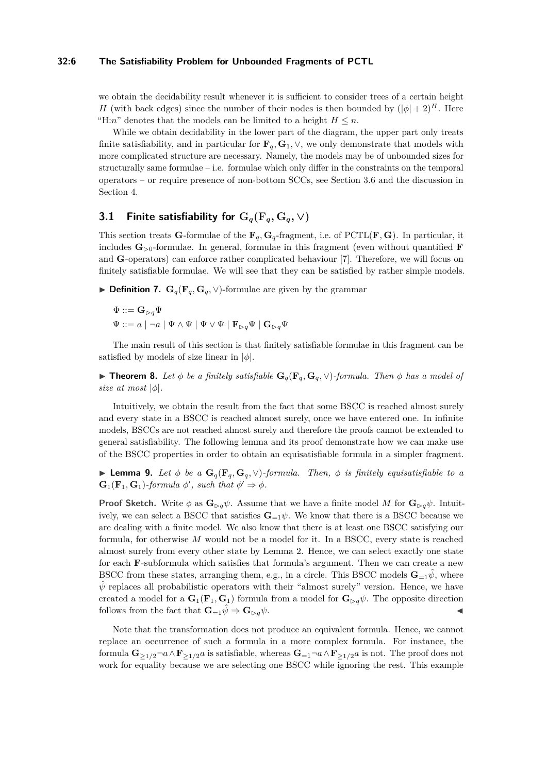### **32:6 The Satisfiability Problem for Unbounded Fragments of PCTL**

we obtain the decidability result whenever it is sufficient to consider trees of a certain height *H* (with back edges) since the number of their nodes is then bounded by  $(|\phi| + 2)^{H}$ . Here "H:*n*" denotes that the models can be limited to a height  $H \leq n$ .

While we obtain decidability in the lower part of the diagram, the upper part only treats finite satisfiability, and in particular for  $\mathbf{F}_q$ ,  $\mathbf{G}_1$ ,  $\vee$ , we only demonstrate that models with more complicated structure are necessary. Namely, the models may be of unbounded sizes for structurally same formulae – i.e. formulae which only differ in the constraints on the temporal operators – or require presence of non-bottom SCCs, see Section [3.6](#page-12-0) and the discussion in Section [4.](#page-13-0)

# <span id="page-5-0"></span>**3.1 Finite satisfiability for**  $G_q(F_q, G_q, V)$

This section treats **G**-formulae of the  $\mathbf{F}_q$ ,  $\mathbf{G}_q$ -fragment, i.e. of PCTL( $\mathbf{F}, \mathbf{G}$ ). In particular, it includes  $\mathbf{G}_{>0}$ -formulae. In general, formulae in this fragment (even without quantified **F** and **G**-operators) can enforce rather complicated behaviour [\[7\]](#page-14-0). Therefore, we will focus on finitely satisfiable formulae. We will see that they can be satisfied by rather simple models.

▶ **Definition 7.**  $\mathbf{G}_q(\mathbf{F}_q, \mathbf{G}_q, \vee)$ -formulae are given by the grammar

$$
\begin{aligned} \Phi &::= \mathbf{G}_{\rhd q} \Psi \\ \Psi &::= a \mid \neg a \mid \Psi \wedge \Psi \mid \Psi \vee \Psi \mid \mathbf{F}_{\rhd q} \Psi \mid \mathbf{G}_{\rhd q} \Psi \end{aligned}
$$

The main result of this section is that finitely satisfiable formulae in this fragment can be satisfied by models of size linear in  $|\phi|$ .

<span id="page-5-1"></span> $\blacktriangleright$  **Theorem 8.** *Let φ be a finitely satisfiable*  $\mathbf{G}_q(\mathbf{F}_q, \mathbf{G}_q, \vee)$ *-formula. Then φ has a model of size at most*  $|\phi|$ *.* 

Intuitively, we obtain the result from the fact that some BSCC is reached almost surely and every state in a BSCC is reached almost surely, once we have entered one. In infinite models, BSCCs are not reached almost surely and therefore the proofs cannot be extended to general satisfiability. The following lemma and its proof demonstrate how we can make use of the BSCC properties in order to obtain an equisatisfiable formula in a simpler fragment.

<span id="page-5-2"></span>**► Lemma 9.** Let  $\phi$  be a  $\mathbf{G}_q(\mathbf{F}_q, \mathbf{G}_q, \vee)$ -formula. Then,  $\phi$  is finitely equisatisfiable to a  $\mathbf{G}_1(\mathbf{F}_1, \mathbf{G}_1)$ *-formula*  $\phi'$ *, such that*  $\phi' \Rightarrow \phi$ *.* 

**Proof Sketch.** Write  $\phi$  as  $\mathbf{G}_{\triangleright q}\psi$ . Assume that we have a finite model *M* for  $\mathbf{G}_{\triangleright q}\psi$ . Intuitively, we can select a BSCC that satisfies  $\mathbf{G}_{=1}\psi$ . We know that there is a BSCC because we are dealing with a finite model. We also know that there is at least one BSCC satisfying our formula, for otherwise *M* would not be a model for it. In a BSCC, every state is reached almost surely from every other state by Lemma [2.](#page-2-0) Hence, we can select exactly one state for each **F**-subformula which satisfies that formula's argument. Then we can create a new BSCC from these states, arranging them, e.g., in a circle. This BSCC models  $\mathbf{G}_{=1}\psi$ , where  $\hat{\psi}$  replaces all probabilistic operators with their "almost surely" version. Hence, we have created a model for a  $\mathbf{G}_1(\mathbf{F}_1, \mathbf{G}_1)$  formula from a model for  $\mathbf{G}_{\triangleright q}\psi$ . The opposite direction follows from the fact that  $\mathbf{G}_{=1}\hat{\psi} \Rightarrow \mathbf{G}_{\triangleright q}\psi$ .

Note that the transformation does not produce an equivalent formula. Hence, we cannot replace an occurrence of such a formula in a more complex formula. For instance, the formula  $\mathbf{G}_{\geq 1/2}$  $\neg a \wedge \mathbf{F}_{\geq 1/2}a$  is satisfiable, whereas  $\mathbf{G}_{=1} \neg a \wedge \mathbf{F}_{\geq 1/2}a$  is not. The proof does not work for equality because we are selecting one BSCC while ignoring the rest. This example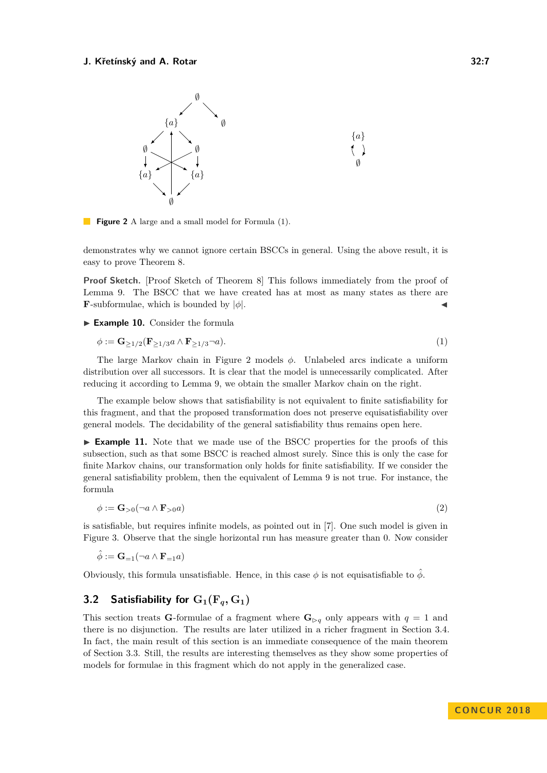<span id="page-6-2"></span>

**Figure 2** A large and a small model for Formula [\(1\)](#page-6-1).

demonstrates why we cannot ignore certain BSCCs in general. Using the above result, it is easy to prove Theorem [8.](#page-5-1)

**Proof Sketch.** [Proof Sketch of Theorem [8\]](#page-5-1) This follows immediately from the proof of Lemma [9.](#page-5-2) The BSCC that we have created has at most as many states as there are **F**-subformulae, which is bounded by  $|\phi|$ .

► **Example 10.** Consider the formula

<span id="page-6-1"></span>
$$
\phi := \mathbf{G}_{\ge 1/2}(\mathbf{F}_{\ge 1/3}a \wedge \mathbf{F}_{\ge 1/3}a). \tag{1}
$$

The large Markov chain in Figure [2](#page-6-2) models *φ*. Unlabeled arcs indicate a uniform distribution over all successors. It is clear that the model is unnecessarily complicated. After reducing it according to Lemma [9,](#page-5-2) we obtain the smaller Markov chain on the right.

The example below shows that satisfiability is not equivalent to finite satisfiability for this fragment, and that the proposed transformation does not preserve equisatisfiability over general models. The decidability of the general satisfiability thus remains open here.

► **Example 11.** Note that we made use of the BSCC properties for the proofs of this subsection, such as that some BSCC is reached almost surely. Since this is only the case for finite Markov chains, our transformation only holds for finite satisfiability. If we consider the general satisfiability problem, then the equivalent of Lemma [9](#page-5-2) is not true. For instance, the formula

<span id="page-6-3"></span>
$$
\phi := \mathbf{G}_{>0}(\neg a \land \mathbf{F}_{>0}a) \tag{2}
$$

is satisfiable, but requires infinite models, as pointed out in [\[7\]](#page-14-0). One such model is given in Figure [3.](#page-7-0) Observe that the single horizontal run has measure greater than 0. Now consider

$$
\hat{\phi}:=\mathbf{G}_{=1}(\neg a\wedge \mathbf{F}_{=1}a)
$$

Obviously, this formula unsatisfiable. Hence, in this case  $\phi$  is not equisatisfiable to  $\hat{\phi}$ .

# <span id="page-6-0"></span>**3.2 Satisfiability for**  $G_1(F_q, G_1)$

This section treats **G**-formulae of a fragment where  $\mathbf{G}_{\geq q}$  only appears with  $q = 1$  and there is no disjunction. The results are later utilized in a richer fragment in Section [3.4.](#page-9-0) In fact, the main result of this section is an immediate consequence of the main theorem of Section [3.3.](#page-9-1) Still, the results are interesting themselves as they show some properties of models for formulae in this fragment which do not apply in the generalized case.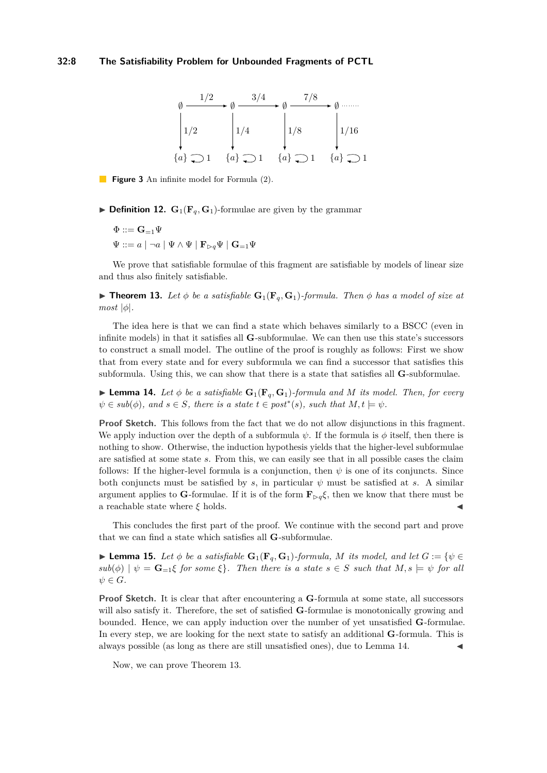<span id="page-7-0"></span>

**Figure 3** An infinite model for Formula  $(2)$ .

- $\triangleright$  **Definition 12.**  $\mathbf{G}_1(\mathbf{F}_q, \mathbf{G}_1)$ -formulae are given by the grammar
	- $\Phi ::= \mathbf{G}_{-1}\Psi$  $\Psi ::= a \mid \neg a \mid \Psi \wedge \Psi \mid \mathbf{F}_{\triangleright a} \Psi \mid \mathbf{G}_{=1} \Psi$

We prove that satisfiable formulae of this fragment are satisfiable by models of linear size and thus also finitely satisfiable.

<span id="page-7-2"></span>**Find 13.** Let  $\phi$  be a satisfiable  $\mathbf{G}_1(\mathbf{F}_q, \mathbf{G}_1)$ -formula. Then  $\phi$  has a model of size at *most*  $|\phi|$ *.* 

The idea here is that we can find a state which behaves similarly to a BSCC (even in infinite models) in that it satisfies all **G**-subformulae. We can then use this state's successors to construct a small model. The outline of the proof is roughly as follows: First we show that from every state and for every subformula we can find a successor that satisfies this subformula. Using this, we can show that there is a state that satisfies all **G**-subformulae.

<span id="page-7-1"></span> $\blacktriangleright$  **Lemma 14.** Let  $\phi$  be a satisfiable  $\mathbf{G}_1(\mathbf{F}_q, \mathbf{G}_1)$ -formula and M its model. Then, for every  $\psi \in sub(\phi)$ , and  $s \in S$ , there is a state  $t \in post^*(s)$ , such that  $M, t \models \psi$ .

**Proof Sketch.** This follows from the fact that we do not allow disjunctions in this fragment. We apply induction over the depth of a subformula  $\psi$ . If the formula is  $\phi$  itself, then there is nothing to show. Otherwise, the induction hypothesis yields that the higher-level subformulae are satisfied at some state *s*. From this, we can easily see that in all possible cases the claim follows: If the higher-level formula is a conjunction, then  $\psi$  is one of its conjuncts. Since both conjuncts must be satisfied by  $s$ , in particular  $\psi$  must be satisfied at  $s$ . A similar argument applies to G-formulae. If it is of the form  $\mathbf{F}_{\triangleright q}\xi$ , then we know that there must be a reachable state where  $\xi$  holds.

This concludes the first part of the proof. We continue with the second part and prove that we can find a state which satisfies all **G**-subformulae.

<span id="page-7-3"></span> $\blacktriangleright$  **Lemma 15.** *Let ϕ be a satisfiable* **G**<sub>1</sub>(**F**<sub>*q*</sub>, **G**<sub>1</sub>)*-formula, M its model, and let G* := { $ψ ∈$  $sub(\phi) | \psi = \mathbf{G}_{=1}$ *ξ for some ξ}. Then there is a state*  $s \in S$  *such that*  $M, s \models \psi$  *for all*  $\psi \in G$ *.* 

**Proof Sketch.** It is clear that after encountering a **G**-formula at some state, all successors will also satisfy it. Therefore, the set of satisfied **G**-formulae is monotonically growing and bounded. Hence, we can apply induction over the number of yet unsatisfied **G**-formulae. In every step, we are looking for the next state to satisfy an additional **G**-formula. This is always possible (as long as there are still unsatisfied ones), due to Lemma [14.](#page-7-1)

Now, we can prove Theorem [13.](#page-7-2)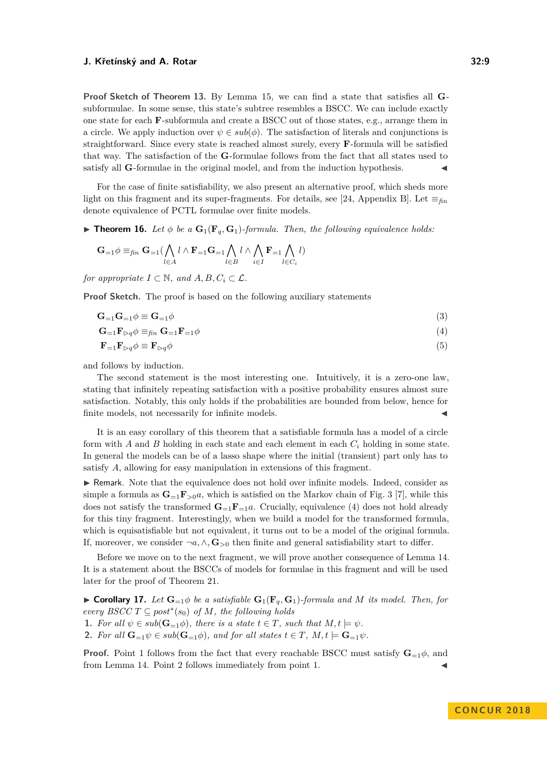**Proof Sketch of Theorem [13.](#page-7-2)** By Lemma [15,](#page-7-3) we can find a state that satisfies all **G**subformulae. In some sense, this state's subtree resembles a BSCC. We can include exactly one state for each **F**-subformula and create a BSCC out of those states, e.g., arrange them in a circle. We apply induction over  $\psi \in sub(\phi)$ . The satisfaction of literals and conjunctions is straightforward. Since every state is reached almost surely, every **F**-formula will be satisfied that way. The satisfaction of the **G**-formulae follows from the fact that all states used to satisfy all G-formulae in the original model, and from the induction hypothesis.

For the case of finite satisfiability, we also present an alternative proof, which sheds more light on this fragment and its super-fragments. For details, see [\[24,](#page-15-0) Appendix B]. Let  $\equiv_{\text{fin}}$ denote equivalence of PCTL formulae over finite models.

**Find 16.** *Let*  $\phi$  *be a*  $\mathbf{G}_1(\mathbf{F}_q, \mathbf{G}_1)$ *-formula. Then, the following equivalence holds:* 

$$
\mathbf{G}_{=1}\phi \equiv_{\operatorname{fin}} \mathbf{G}_{=1}(\bigwedge_{l\in A} l \wedge \mathbf{F}_{=1}\mathbf{G}_{=1}\bigwedge_{l\in B} l \wedge \bigwedge_{i\in I} \mathbf{F}_{=1}\bigwedge_{l\in C_i} l)
$$

*for appropriate*  $I \subset \mathbb{N}$ *, and*  $A, B, C_i \subset \mathcal{L}$ *.* 

**Proof Sketch.** The proof is based on the following auxiliary statements

$$
\mathbf{G}_{=1}\mathbf{G}_{=1}\phi \equiv \mathbf{G}_{=1}\phi \tag{3}
$$

<span id="page-8-0"></span>
$$
\mathbf{G}_{=1}\mathbf{F}_{\triangleright q}\phi \equiv_{\text{fin}} \mathbf{G}_{=1}\mathbf{F}_{=1}\phi
$$
\n<sup>(4)</sup>

$$
\mathbf{F}_{=1}\mathbf{F}_{\triangleright q}\phi \equiv \mathbf{F}_{\triangleright q}\phi\tag{5}
$$

and follows by induction.

The second statement is the most interesting one. Intuitively, it is a zero-one law, stating that infinitely repeating satisfaction with a positive probability ensures almost sure satisfaction. Notably, this only holds if the probabilities are bounded from below, hence for finite models, not necessarily for infinite models.

It is an easy corollary of this theorem that a satisfiable formula has a model of a circle form with  $A$  and  $B$  holding in each state and each element in each  $C_i$  holding in some state. In general the models can be of a lasso shape where the initial (transient) part only has to satisfy *A*, allowing for easy manipulation in extensions of this fragment.

I Remark. Note that the equivalence does not hold over infinite models. Indeed, consider as simple a formula as  $\mathbf{G}_{=1}\mathbf{F}_{>0}a$ , which is satisfied on the Markov chain of Fig. [3](#page-7-0) [\[7\]](#page-14-0), while this does not satisfy the transformed  $\mathbf{G}_{=1}\mathbf{F}_{=1}a$ . Crucially, equivalence [\(4\)](#page-8-0) does not hold already for this tiny fragment. Interestingly, when we build a model for the transformed formula, which is equisatisfiable but not equivalent, it turns out to be a model of the original formula. If, moreover, we consider ¬*a,* ∧*,* **G***<sup>&</sup>gt;*<sup>0</sup> then finite and general satisfiability start to differ.

Before we move on to the next fragment, we will prove another consequence of Lemma [14.](#page-7-1) It is a statement about the BSCCs of models for formulae in this fragment and will be used later for the proof of Theorem [21.](#page-9-2)

<span id="page-8-3"></span><span id="page-8-1"></span> $\triangleright$  **Corollary 17.** Let  $\mathbf{G}_{=1}\phi$  be a satisfiable  $\mathbf{G}_1(\mathbf{F}_q,\mathbf{G}_1)$ -formula and M its model. Then, for *every BSCC*  $T ⊆ post*(s<sub>0</sub>)$  *of*  $M$ *, the following holds* **1.** For all  $\psi \in sub(\mathbf{G}_{=1}\phi)$ , there is a state  $t \in T$ , such that  $M, t \models \psi$ . **2.** *For all*  $\mathbf{G}_{=1}\psi \in sub(\mathbf{G}_{=1}\phi)$ *, and for all states*  $t \in T$ *,*  $M, t \models \mathbf{G}_{=1}\psi$ *.* 

<span id="page-8-2"></span>**Proof.** Point [1](#page-8-1) follows from the fact that every reachable BSCC must satisfy  $\mathbf{G}_{=1}\phi$ , and from Lemma [14.](#page-7-1) Point [2](#page-8-2) follows immediately from point [1.](#page-8-1)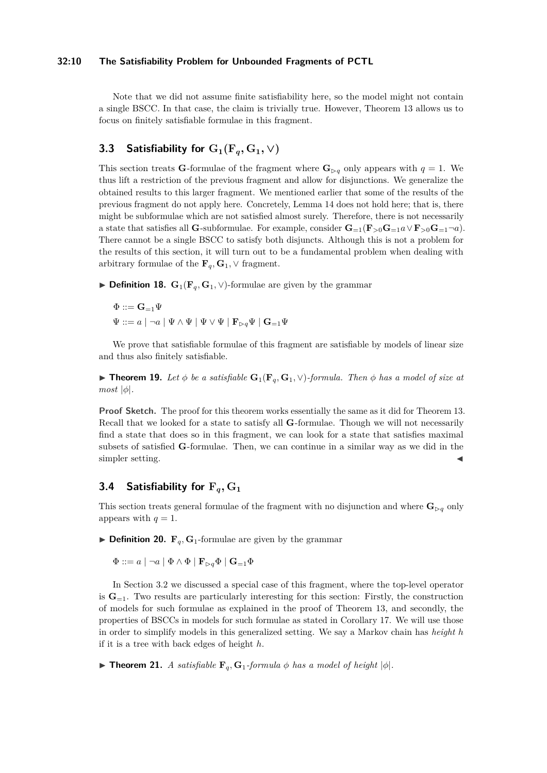### **32:10 The Satisfiability Problem for Unbounded Fragments of PCTL**

Note that we did not assume finite satisfiability here, so the model might not contain a single BSCC. In that case, the claim is trivially true. However, Theorem [13](#page-7-2) allows us to focus on finitely satisfiable formulae in this fragment.

# <span id="page-9-1"></span>**3.3 Satisfiability for**  $G_1(F_a, G_1, V)$

This section treats **G**-formulae of the fragment where  $\mathbf{G}_{\triangleright q}$  only appears with  $q = 1$ . We thus lift a restriction of the previous fragment and allow for disjunctions. We generalize the obtained results to this larger fragment. We mentioned earlier that some of the results of the previous fragment do not apply here. Concretely, Lemma [14](#page-7-1) does not hold here; that is, there might be subformulae which are not satisfied almost surely. Therefore, there is not necessarily a state that satisfies all **G**-subformulae. For example, consider  $\mathbf{G}_{=1}(\mathbf{F}_{>0}\mathbf{G}_{=1}a \vee \mathbf{F}_{>0}\mathbf{G}_{=1}a)$ . There cannot be a single BSCC to satisfy both disjuncts. Although this is not a problem for the results of this section, it will turn out to be a fundamental problem when dealing with arbitrary formulae of the  $\mathbf{F}_q$ ,  $\mathbf{G}_1$ ,  $\vee$  fragment.

**► Definition 18.**  $\mathbf{G}_1(\mathbf{F}_q, \mathbf{G}_1, \vee)$ -formulae are given by the grammar

 $\Phi ::= \mathbf{G}_{=1}\Psi$  $\Psi ::= a \mid \neg a \mid \Psi \wedge \Psi \mid \Psi \vee \Psi \mid \mathbf{F}_{\triangleright a} \Psi \mid \mathbf{G}_{=1} \Psi$ 

We prove that satisfiable formulae of this fragment are satisfiable by models of linear size and thus also finitely satisfiable.

**► Theorem 19.** Let  $\phi$  be a satisfiable  $\mathbf{G}_1(\mathbf{F}_q, \mathbf{G}_1, \vee)$ -formula. Then  $\phi$  has a model of size at *most* |*φ*|*.*

**Proof Sketch.** The proof for this theorem works essentially the same as it did for Theorem [13.](#page-7-2) Recall that we looked for a state to satisfy all **G**-formulae. Though we will not necessarily find a state that does so in this fragment, we can look for a state that satisfies maximal subsets of satisfied **G**-formulae. Then, we can continue in a similar way as we did in the simpler setting.

### <span id="page-9-0"></span>**3.4** Satisfiability for  $\mathbf{F}_a$ ,  $\mathbf{G}_1$

This section treats general formulae of the fragment with no disjunction and where  $\mathbf{G}_{\triangleright q}$  only appears with  $q = 1$ .

 $\triangleright$  **Definition 20.**  $\mathbf{F}_q$ ,  $\mathbf{G}_1$ -formulae are given by the grammar

 $\Phi ::= a \mid \neg a \mid \Phi \wedge \Phi \mid \mathbf{F}_{\triangleright q} \Phi \mid \mathbf{G}_{=1} \Phi$ 

In Section [3.2](#page-6-0) we discussed a special case of this fragment, where the top-level operator is  $\mathbf{G}_{=1}$ . Two results are particularly interesting for this section: Firstly, the construction of models for such formulae as explained in the proof of Theorem [13,](#page-7-2) and secondly, the properties of BSCCs in models for such formulae as stated in Corollary [17.](#page-8-3) We will use those in order to simplify models in this generalized setting. We say a Markov chain has *height h* if it is a tree with back edges of height *h*.

<span id="page-9-2"></span> $\blacktriangleright$  **Theorem 21.** *A satisfiable*  $\mathbf{F}_q$ ,  $\mathbf{G}_1$ -formula  $\phi$  *has a model of height*  $|\phi|$ *.*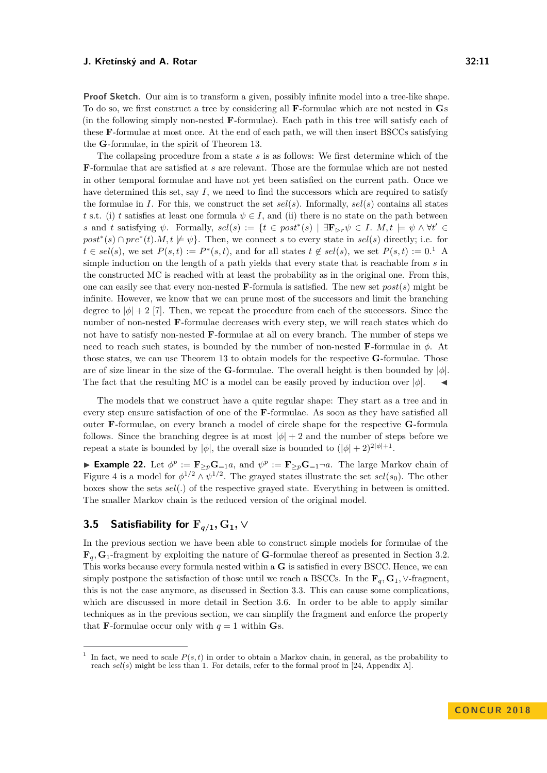**Proof Sketch.** Our aim is to transform a given, possibly infinite model into a tree-like shape. To do so, we first construct a tree by considering all **F**-formulae which are not nested in **G**s (in the following simply non-nested **F**-formulae). Each path in this tree will satisfy each of these **F**-formulae at most once. At the end of each path, we will then insert BSCCs satisfying the **G**-formulae, in the spirit of Theorem [13.](#page-7-2)

The collapsing procedure from a state *s* is as follows: We first determine which of the **F**-formulae that are satisfied at *s* are relevant. Those are the formulae which are not nested in other temporal formulae and have not yet been satisfied on the current path. Once we have determined this set, say *I*, we need to find the successors which are required to satisfy the formulae in *I*. For this, we construct the set  $\text{sel}(s)$ . Informally,  $\text{sel}(s)$  contains all states *t* s.t. (i) *t* satisfies at least one formula  $\psi \in I$ , and (ii) there is no state on the path between *s* and *t* satisfying  $\psi$ . Formally,  $sel(s) := \{ t \in post^*(s) \mid \exists \mathbf{F}_{\triangleright r} \psi \in I$ .  $M, t \models \psi \land \forall t' \in I$  $post^*(s) \cap pre^*(t) \cdot M, t \not\models \psi$ . Then, we connect *s* to every state in *sel*(*s*) directly; i.e. for *t* ∈ *sel*(*s*), we set *P*(*s, t*) := *P*<sup>\*</sup>(*s, t*), and for all states *t* ∉ *sel*(*s*), we set *P*(*s, t*) := 0.<sup>[1](#page-10-1)</sup> A simple induction on the length of a path yields that every state that is reachable from *s* in the constructed MC is reached with at least the probability as in the original one. From this, one can easily see that every non-nested **F**-formula is satisfied. The new set *post*(*s*) might be infinite. However, we know that we can prune most of the successors and limit the branching degree to  $|\phi| + 2$  [\[7\]](#page-14-0). Then, we repeat the procedure from each of the successors. Since the number of non-nested **F**-formulae decreases with every step, we will reach states which do not have to satisfy non-nested **F**-formulae at all on every branch. The number of steps we need to reach such states, is bounded by the number of non-nested **F**-formulae in *φ*. At those states, we can use Theorem [13](#page-7-2) to obtain models for the respective **G**-formulae. Those are of size linear in the size of the **G**-formulae. The overall height is then bounded by  $|\phi|$ . The fact that the resulting MC is a model can be easily proved by induction over  $|\phi|$ .

The models that we construct have a quite regular shape: They start as a tree and in every step ensure satisfaction of one of the **F**-formulae. As soon as they have satisfied all outer **F**-formulae, on every branch a model of circle shape for the respective **G**-formula follows. Since the branching degree is at most  $|\phi| + 2$  and the number of steps before we repeat a state is bounded by  $|\phi|$ , the overall size is bounded to  $(|\phi|+2)^{2|\phi|+1}$ .

► **Example 22.** Let  $\phi^p := \mathbf{F}_{\geq p} \mathbf{G}_{=1} a$ , and  $\psi^p := \mathbf{F}_{\geq p} \mathbf{G}_{=1} \neg a$ . The large Markov chain of Figure [4](#page-11-0) is a model for  $\phi^{1/2} \wedge \psi^{1/2}$ . The grayed states illustrate the set *sel*(*s*<sub>0</sub>). The other boxes show the sets *sel*(*.*) of the respective grayed state. Everything in between is omitted. The smaller Markov chain is the reduced version of the original model.

# <span id="page-10-0"></span>**3.5 Satisfiability for**  $\mathbf{F}_{q/1}, \mathbf{G}_1, \vee$

In the previous section we have been able to construct simple models for formulae of the  $\mathbf{F}_q$ ,  $\mathbf{G}_1$ -fragment by exploiting the nature of  $\mathbf{G}$ -formulae thereof as presented in Section [3.2.](#page-6-0) This works because every formula nested within a **G** is satisfied in every BSCC. Hence, we can simply postpone the satisfaction of those until we reach a BSCCs. In the  $\mathbf{F}_q$ ,  $\mathbf{G}_1$ ,  $\vee$ -fragment, this is not the case anymore, as discussed in Section [3.3.](#page-9-1) This can cause some complications, which are discussed in more detail in Section [3.6.](#page-12-0) In order to be able to apply similar techniques as in the previous section, we can simplify the fragment and enforce the property that **F**-formulae occur only with  $q = 1$  within **G**s.

<span id="page-10-1"></span><sup>1</sup> In fact, we need to scale  $P(s,t)$  in order to obtain a Markov chain, in general, as the probability to reach *sel*(*s*) might be less than 1. For details, refer to the formal proof in [\[24,](#page-15-0) Appendix A].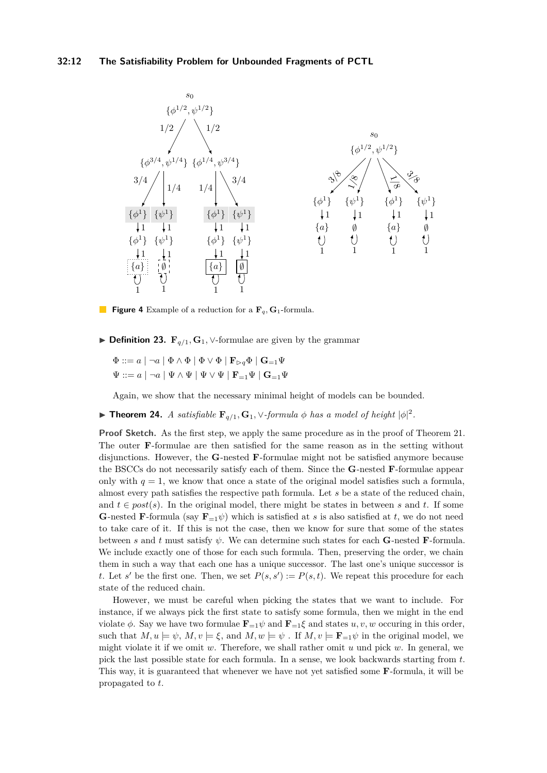### **32:12 The Satisfiability Problem for Unbounded Fragments of PCTL**

<span id="page-11-0"></span>

 $\mathcal{C}^{\mathcal{A}}$ **Figure 4** Example of a reduction for a  $\mathbf{F}_q$ ,  $\mathbf{G}_1$ -formula.

- **► Definition 23.**  $\mathbf{F}_{q/1}, \mathbf{G}_1, \vee$ -formulae are given by the grammar
	- $\Phi ::= a \mid \neg a \mid \Phi \wedge \Phi \mid \Phi \vee \Phi \mid \mathbf{F}_{\triangleright q} \Phi \mid \mathbf{G}_{=1} \Psi$  $\Psi ::= a \mid \neg a \mid \Psi \wedge \Psi \mid \Psi \vee \Psi \mid \mathbf{F}_{-1} \Psi \mid \mathbf{G}_{-1} \Psi$

Again, we show that the necessary minimal height of models can be bounded.

▶ **Theorem 24.** *A satisfiable*  $\mathbf{F}_{q/1}$ ,  $\mathbf{G}_1$ ,  $\vee$ *-formula*  $\phi$  *has a model of height*  $|\phi|^2$ *.* 

**Proof Sketch.** As the first step, we apply the same procedure as in the proof of Theorem [21.](#page-9-2) The outer **F**-formulae are then satisfied for the same reason as in the setting without disjunctions. However, the **G**-nested **F**-formulae might not be satisfied anymore because the BSCCs do not necessarily satisfy each of them. Since the **G**-nested **F**-formulae appear only with  $q = 1$ , we know that once a state of the original model satisfies such a formula, almost every path satisfies the respective path formula. Let *s* be a state of the reduced chain, and  $t \in post(s)$ . In the original model, there might be states in between *s* and *t*. If some **G**-nested **F**-formula (say  $\mathbf{F}_{=1}\psi$ ) which is satisfied at *s* is also satisfied at *t*, we do not need to take care of it. If this is not the case, then we know for sure that some of the states between *s* and *t* must satisfy  $\psi$ . We can determine such states for each **G**-nested **F**-formula. We include exactly one of those for each such formula. Then, preserving the order, we chain them in such a way that each one has a unique successor. The last one's unique successor is *t*. Let *s*' be the first one. Then, we set  $P(s, s') := P(s, t)$ . We repeat this procedure for each state of the reduced chain.

However, we must be careful when picking the states that we want to include. For instance, if we always pick the first state to satisfy some formula, then we might in the end violate  $\phi$ . Say we have two formulae  $\mathbf{F}_{=1}\psi$  and  $\mathbf{F}_{=1}\xi$  and states  $u, v, w$  occuring in this order, such that  $M, u \models \psi, M, v \models \xi$ , and  $M, w \models \psi$ . If  $M, v \models \mathbf{F}_{=1}\psi$  in the original model, we might violate it if we omit *w*. Therefore, we shall rather omit *u* und pick *w*. In general, we pick the last possible state for each formula. In a sense, we look backwards starting from *t*. This way, it is guaranteed that whenever we have not yet satisfied some **F**-formula, it will be propagated to *t*.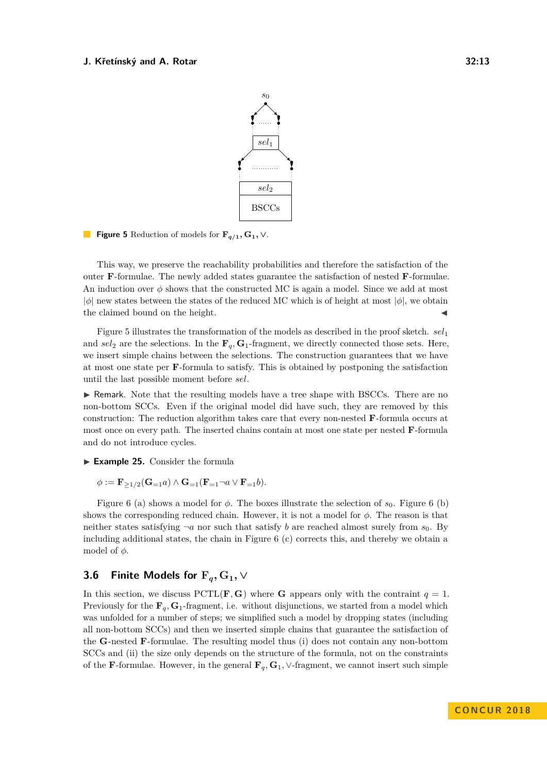

<span id="page-12-1"></span>**Figure 5** Reduction of models for  $\mathbf{F}_{q/1}, \mathbf{G}_1, \vee$ .

This way, we preserve the reachability probabilities and therefore the satisfaction of the outer **F**-formulae. The newly added states guarantee the satisfaction of nested **F**-formulae. An induction over  $\phi$  shows that the constructed MC is again a model. Since we add at most  $|\phi|$  new states between the states of the reduced MC which is of height at most  $|\phi|$ , we obtain the claimed bound on the height.

Figure [5](#page-12-1) illustrates the transformation of the models as described in the proof sketch. *sel*<sup>1</sup> and  $sel<sub>2</sub>$  are the selections. In the  $\mathbf{F}_q$ ,  $\mathbf{G}_1$ -fragment, we directly connected those sets. Here, we insert simple chains between the selections. The construction guarantees that we have at most one state per **F**-formula to satisfy. This is obtained by postponing the satisfaction until the last possible moment before *sel*.

I Remark. Note that the resulting models have a tree shape with BSCCs. There are no non-bottom SCCs. Even if the original model did have such, they are removed by this construction: The reduction algorithm takes care that every non-nested **F**-formula occurs at most once on every path. The inserted chains contain at most one state per nested **F**-formula and do not introduce cycles.

► Example 25. Consider the formula

$$
\phi := \mathbf{F}_{\geq 1/2}(\mathbf{G}_{=1}a) \wedge \mathbf{G}_{=1}(\mathbf{F}_{=1} \neg a \vee \mathbf{F}_{=1}b).
$$

Figure [6](#page-13-1) (a) shows a model for  $\phi$ . The boxes illustrate the selection of  $s_0$ . Figure 6 (b) shows the corresponding reduced chain. However, it is not a model for  $\phi$ . The reason is that neither states satisfying  $\neg a$  nor such that satisfy *b* are reached almost surely from *s*<sub>0</sub>. By including additional states, the chain in Figure [6](#page-13-1) (c) corrects this, and thereby we obtain a model of *φ*.

### <span id="page-12-0"></span>**3.6 Finite Models for**  $\mathbf{F}_a, \mathbf{G}_1, \vee$

In this section, we discuss PCTL( $\mathbf{F}, \mathbf{G}$ ) where **G** appears only with the contraint  $q = 1$ . Previously for the  $\mathbf{F}_q$ ,  $\mathbf{G}_1$ -fragment, i.e. without disjunctions, we started from a model which was unfolded for a number of steps; we simplified such a model by dropping states (including all non-bottom SCCs) and then we inserted simple chains that guarantee the satisfaction of the **G**-nested **F**-formulae. The resulting model thus (i) does not contain any non-bottom SCCs and (ii) the size only depends on the structure of the formula, not on the constraints of the **F**-formulae. However, in the general  $\mathbf{F}_q$ ,  $\mathbf{G}_1$ ,  $\vee$ -fragment, we cannot insert such simple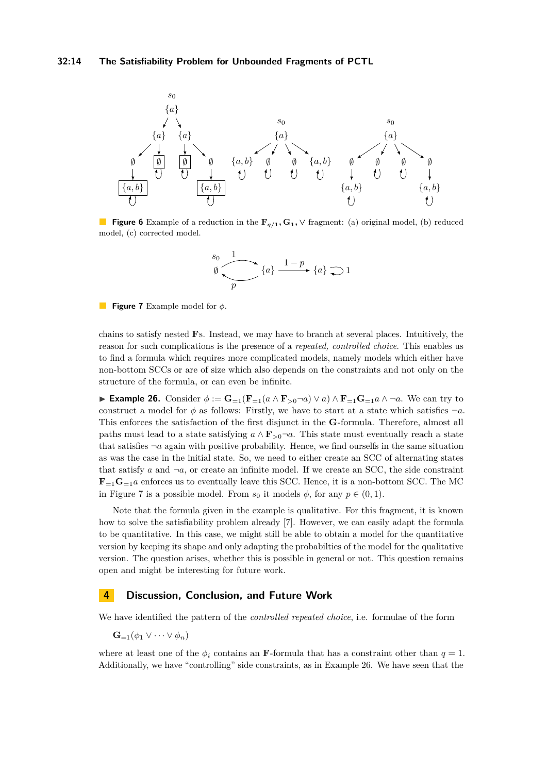<span id="page-13-1"></span>

<span id="page-13-2"></span>**Figure 6** Example of a reduction in the  $\mathbf{F}_{q/1}, \mathbf{G}_1, \vee$  fragment: (a) original model, (b) reduced model, (c) corrected model.



**Figure 7** Example model for *φ*.

chains to satisfy nested **F**s. Instead, we may have to branch at several places. Intuitively, the reason for such complications is the presence of a *repeated, controlled choice*. This enables us to find a formula which requires more complicated models, namely models which either have non-bottom SCCs or are of size which also depends on the constraints and not only on the structure of the formula, or can even be infinite.

<span id="page-13-3"></span>**Example 26.** Consider  $\phi := \mathbf{G}_{=1}(\mathbf{F}_{=1}(a \land \mathbf{F}_{>0}\neg a) \lor a) \land \mathbf{F}_{=1}\mathbf{G}_{=1}a \land \neg a$ . We can try to construct a model for  $\phi$  as follows: Firstly, we have to start at a state which satisfies  $\neg a$ . This enforces the satisfaction of the first disjunct in the **G**-formula. Therefore, almost all paths must lead to a state satisfying  $a \wedge \mathbf{F}_{\geq 0}$   $\neg a$ . This state must eventually reach a state that satisfies  $\neg a$  again with positive probability. Hence, we find ourselfs in the same situation as was the case in the initial state. So, we need to either create an SCC of alternating states that satisfy  $a$  and  $\neg a$ , or create an infinite model. If we create an SCC, the side constraint  $\mathbf{F}_{=1}\mathbf{G}_{=1}a$  enforces us to eventually leave this SCC. Hence, it is a non-bottom SCC. The MC in Figure [7](#page-13-2) is a possible model. From  $s_0$  it models  $\phi$ , for any  $p \in (0,1)$ .

Note that the formula given in the example is qualitative. For this fragment, it is known how to solve the satisfiability problem already [\[7\]](#page-14-0). However, we can easily adapt the formula to be quantitative. In this case, we might still be able to obtain a model for the quantitative version by keeping its shape and only adapting the probabilties of the model for the qualitative version. The question arises, whether this is possible in general or not. This question remains open and might be interesting for future work.

### <span id="page-13-0"></span>**4 Discussion, Conclusion, and Future Work**

We have identified the pattern of the *controlled repeated choice*, i.e. formulae of the form

$$
\mathbf{G}_{=1}(\phi_1 \vee \cdots \vee \phi_n)
$$

where at least one of the  $\phi_i$  contains an **F**-formula that has a constraint other than  $q = 1$ . Additionally, we have "controlling" side constraints, as in Example [26.](#page-13-3) We have seen that the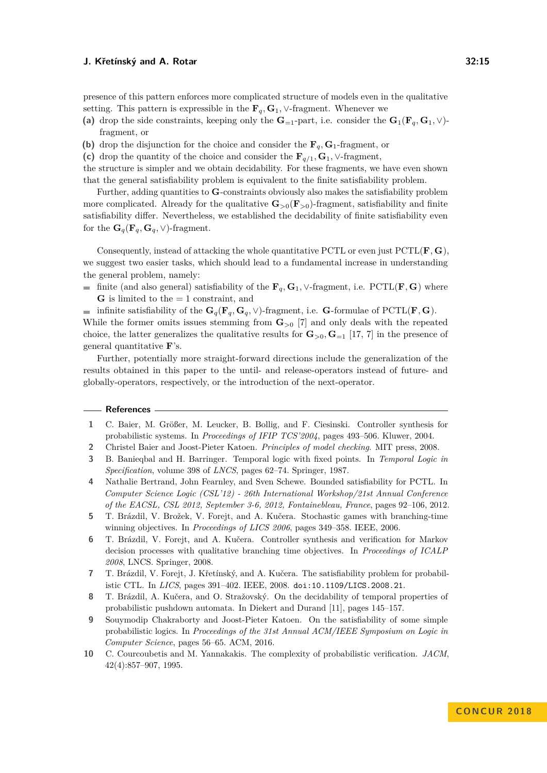presence of this pattern enforces more complicated structure of models even in the qualitative setting. This pattern is expressible in the  $\mathbf{F}_q$ ,  $\mathbf{G}_1$ ,  $\vee$ -fragment. Whenever we

- (a) drop the side constraints, keeping only the  $\mathbf{G}_{=1}$ -part, i.e. consider the  $\mathbf{G}_{1}(\mathbf{F}_{q}, \mathbf{G}_{1}, \vee)$ fragment, or
- **(b)** drop the disjunction for the choice and consider the  $\mathbf{F}_q$ ,  $\mathbf{G}_1$ -fragment, or

(c) drop the quantity of the choice and consider the  $\mathbf{F}_{q/1}, \mathbf{G}_1, \vee$ -fragment,

the structure is simpler and we obtain decidability. For these fragments, we have even shown that the general satisfiability problem is equivalent to the finite satisfiability problem.

Further, adding quantities to **G**-constraints obviously also makes the satisfiability problem more complicated. Already for the qualitative  $\mathbf{G}_{>0}(\mathbf{F}_{>0})$ -fragment, satisfiability and finite satisfiability differ. Nevertheless, we established the decidability of finite satisfiability even for the  $\mathbf{G}_q(\mathbf{F}_q, \mathbf{G}_q, \vee)$ -fragment.

Consequently, instead of attacking the whole quantitative PCTL or even just PCTL(**F***,* **G**), we suggest two easier tasks, which should lead to a fundamental increase in understanding the general problem, namely:

- finite (and also general) satisfiability of the  $\mathbf{F}_q$ ,  $\mathbf{G}_1$ ,  $\vee$ -fragment, i.e. PCTL(**F**, **G**) where  $\overline{\phantom{a}}$  $G$  is limited to the  $= 1$  constraint, and
- infinite satisfiability of the  $\mathbf{G}_q(\mathbf{F}_q, \mathbf{G}_q, \vee)$ -fragment, i.e.  $\mathbf{G}$ -formulae of PCTL( $\mathbf{F}, \mathbf{G}$ ).

While the former omits issues stemming from  $\mathbf{G}_{\geq 0}$  [\[7\]](#page-14-0) and only deals with the repeated choice, the latter generalizes the qualitative results for  $\mathbf{G}_{>0}, \mathbf{G}_{=1}$  [\[17,](#page-15-1) [7\]](#page-14-0) in the presence of general quantitative **F**'s.

Further, potentially more straight-forward directions include the generalization of the results obtained in this paper to the until- and release-operators instead of future- and globally-operators, respectively, or the introduction of the next-operator.

#### **References**

- <span id="page-14-6"></span>**1** C. Baier, M. Größer, M. Leucker, B. Bollig, and F. Ciesinski. Controller synthesis for probabilistic systems. In *Proceedings of IFIP TCS'2004*, pages 493–506. Kluwer, 2004.
- <span id="page-14-9"></span>**2** Christel Baier and Joost-Pieter Katoen. *Principles of model checking*. MIT press, 2008.
- <span id="page-14-3"></span>**3** B. Banieqbal and H. Barringer. Temporal logic with fixed points. In *Temporal Logic in Specification*, volume 398 of *LNCS*, pages 62–74. Springer, 1987.
- <span id="page-14-2"></span>**4** Nathalie Bertrand, John Fearnley, and Sven Schewe. Bounded satisfiability for PCTL. In *Computer Science Logic (CSL'12) - 26th International Workshop/21st Annual Conference of the EACSL, CSL 2012, September 3-6, 2012, Fontainebleau, France*, pages 92–106, 2012.
- <span id="page-14-7"></span>**5** T. Brázdil, V. Brožek, V. Forejt, and A. Kučera. Stochastic games with branching-time winning objectives. In *Proceedings of LICS 2006*, pages 349–358. IEEE, 2006.
- <span id="page-14-8"></span>**6** T. Brázdil, V. Forejt, and A. Kučera. Controller synthesis and verification for Markov decision processes with qualitative branching time objectives. In *Proceedings of ICALP 2008*, LNCS. Springer, 2008.
- <span id="page-14-0"></span>**7** T. Brázdil, V. Forejt, J. Křetínský, and A. Kučera. The satisfiability problem for probabilistic CTL. In *LICS*, pages 391–402. IEEE, 2008. [doi:10.1109/LICS.2008.21](http://dx.doi.org/10.1109/LICS.2008.21).
- <span id="page-14-5"></span>**8** T. Brázdil, A. Kučera, and O. Stražovský. On the decidability of temporal properties of probabilistic pushdown automata. In Diekert and Durand [\[11\]](#page-15-16), pages 145–157.
- <span id="page-14-1"></span>**9** Souymodip Chakraborty and Joost-Pieter Katoen. On the satisfiability of some simple probabilistic logics. In *Proceedings of the 31st Annual ACM/IEEE Symposium on Logic in Computer Science*, pages 56–65. ACM, 2016.
- <span id="page-14-4"></span>**10** C. Courcoubetis and M. Yannakakis. The complexity of probabilistic verification. *JACM*, 42(4):857–907, 1995.